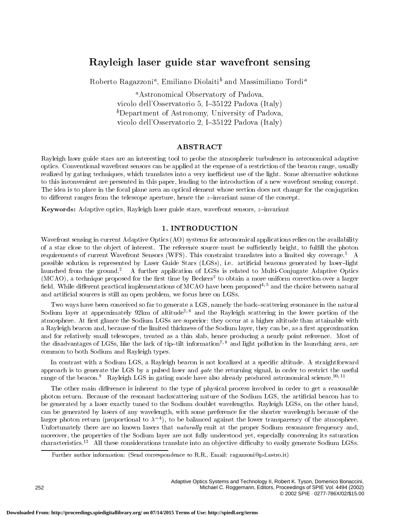# Rayleigh laser guide star wavefront sensing

Roberto Ragazzoni", Emiliano Diolaiti' and Massimiliano Tordi"

<sup>a</sup>Astronomical Observatory of Padova, vicolo dell'Osservatorio 5, I $-35122$  Padova (Italy)  ${}^b$ Department of Astronomy, University of Padova, vicolo dell'Osservatorio 2, I $-35122$  Padova (Italy)

## ABSTRACT

Rayleigh laser guide stars are an interesting tool to probe the atmospheric turbulence in astronomical adaptive optics. Conventional wavefront sensors can be applied at the expense of a restriction of the beacon range, usually realized by gating techniques, which translates into a very inefficient use of the light. Some alternative solutions to this inconvenient are presented in this paper, leading to the introduction of a new wavefront sensing concept. The idea is to place in the focal plane area an optical element whose section does not change for the conjugation to different ranges from the telescope aperture, hence the  $z$ -invariant name of the concept.

**Keywords:** Adaptive optics, Rayleigh laser guide stars, wavefront sensors,  $z$ -invariant

## 1. INTRODUCTION

Wavefront sensing in current Adaptive Optics (AO) systems for astronomical applications relies on the availability of a star close to the object of interest. The reference source must be sufficiently bright, to fulfill the photon requirements of current Wavefront Sensors (WFS). This constraint translates into a limited sky coverage.<sup>1</sup> A possible solution is represented by Laser Guide Stars (LGSs), i.e. artificial beacons generated by laser-light launched from the ground.2 A further application of LGSs is related to Multi-Conjugate Adaptive Optics (MCAO), a technique proposed for the rst time by Beckers3 to obtain a more uniform correction over a larger field. While different practical implementations of MCAO have been proposed<sup>4,5</sup> and the choice between natural and articial sources is still an open problem, we focus here on LGSs.

Two ways have been conceived so far to generate a LGS, namely the back-scattering resonance in the natural Sodium layer at approximately  $92 \text{km}$  of altitude<sup>2,6</sup> and the Rayleigh scattering in the lower portion of the atmosphere. At first glance the Sodium LGSs are superior: they occur at a higher altitude than attainable with a Rayleigh beacon and, because of the limited thickness of the Sodium layer, they can be, as a first approximation and for relatively small telescopes, treated as a thin slab, hence producing a nearly point reference. Most of the disadvantages of LGSs, like the lack of tip-tilt information<sup>7,8</sup> and light pollution in the launching area, are common to both Sodium and Rayleigh types.

In contrast with a Sodium LGS, a Rayleigh beacon is not localized at a specic altitude. A straightforward approach is to generate the LGS by a pulsed laser and gate the returning signal, in order to restrict the useful range of the beacon.<sup>9</sup> Rayleigh LGS in gating mode have also already produced astronomical science.<sup>10,11</sup>

The other main difference is inherent to the type of physical process involved in order to get a reasonable photon return. Because of the resonant backscattering nature of the Sodium LGS, the artificial beacon has to be generated by a laser exactly tuned to the Sodium doublet wavelengths. Rayleigh LGSs, on the other hand, can be generated by lasers of any wavelength, with some preference for the shorter wavelength because of the larger photon return (proportional to 4 ), to be balanced against the lower transparency of the atmosphere. Unfortunately there are no known lasers that *naturally* emit at the proper Sodium resonance frequency and, moreover, the properties of the Sodium layer are not fully understood yet, especially concerning its saturation characteristics.<sup>12</sup> All these considerations translate into an objective difficulty to easily generate Sodium LGSs.

Further author information: (Send correspondence to R.R., Email: ragazzoni@pd.astro.it)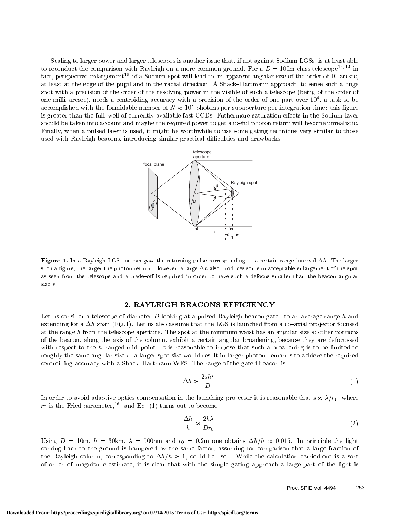Scaling to larger power and larger telescopes is another issue that, if not against Sodium LGSs, is at least able to reconduct the comparison with Rayleigh on a more common ground. For a  $D = 100$ m class telescope<sup>13,14</sup> in fact, perspective enlargement<sup>15</sup> of a Sodium spot will lead to an apparent angular size of the order of 10 arcsec, at least at the edge of the pupil and in the radial direction. A Shack-Hartmann approach, to sense such a huge spot with a precision of the order of the resolving power in the visible of such a telescope (being of the order of one milli-arcsec), needs a centroiding accuracy with a precision of the order of one part over 104, a task to be accomplished with the formidable number of  $N \approx 10^8$  photons per subaperture per integration time: this figure is greater than the full-well of currently available fast CCDs. Futhermore saturation effects in the Sodium layer should be taken into account and maybe the required power to get a useful photon return will become unrealistic. Finally, when a pulsed laser is used, it might be worthwhile to use some gating technique very similar to those used with Rayleigh beacons, introducing similar practical difficulties and drawbacks.



 $\bf r$  igure 1. In a Rayleigh LGS one can *quie* the returning pulse corresponding to a certain range interval  $\Delta n$ . The larger such a figure, the larger the photon return. However, a large  $\Delta h$  also produces some unacceptable enlargement of the spot as seen from the telescope and a trade-off is required in order to have such a defocus smaller than the beacon angular size s.

### 2. RAYLEIGH BEACONS EFFICIENCY

Let us consider a telescope of diameter D looking at a pulsed Rayleigh beacon gated to an average range h and extending for a  $\Delta h$  span (Fig.1). Let us also assume that the LGS is launched from a co-axial projector focused at the range h from the telescope aperture. The spot at the minimum waist has an angular size  $s$ ; other portions of the beacon, along the axis of the column, exhibit a certain angular broadening, because they are defocussed with respect to the h-ranged mid-point. It is reasonable to impose that such a broadening is to be limited to roughly the same angular size s: a larger spot size would result in larger photon demands to achieve the required centroiding accuracy with a Shack{Hartmann WFS. The range of the gated beacon is

$$
\Delta h \approx \frac{2sh^2}{D}.\tag{1}
$$

In order to avoid adaptive optics compensation in the launching projector it is reasonable that  $s \approx \lambda/r_0$ , where  $r_0$  is the Fried parameter,<sup>16</sup> and Eq. (1) turns out to become

$$
\frac{\Delta h}{h} \approx \frac{2h\lambda}{Dr_0}.\tag{2}
$$

Using  $D = 10m$ ,  $h = 30km$ ,  $\lambda = 500nm$  and  $r_0 = 0.2m$  one obtains  $\Delta h/h \approx 0.015$ . In principle the light coming back to the ground is hampered by the same factor, assuming for comparison that a large fraction of the Rayleigh column, corresponding to  $\Delta h/h \approx 1$ , could be used. While the calculation carried out is a sort of order{of{magnitude estimate, it is clear that with the simple gating approach a large part of the light is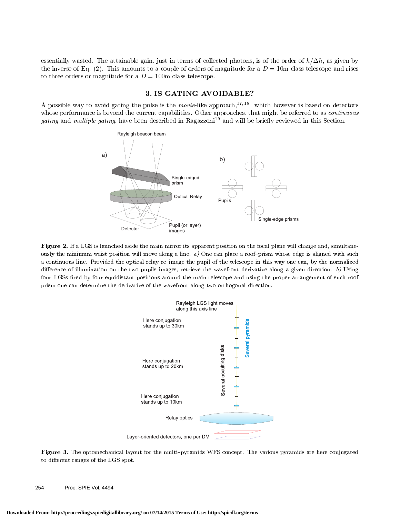essentially wasted. The attainable gain, just in terms of collected photons, is of the order of  $h/\Delta h$ , as given by the inverse of Eq. (2). This amounts to a couple of orders of magnitude for a  $D = 10$ m class telescope and rises to three orders or magnitude for a  $D = 100$ m class telescope.

## 3. IS GATING AVOIDABLE?

A possible way to avoid gating the pulse is the *movie*-like approach,<sup>17,18</sup> which however is based on detectors whose performance is beyond the current capabilities. Other approaches, that might be referred to as *continuous* gating and multiple gating, have been described in Ragazzoni<sup>19</sup> and will be briefly reviewed in this Section.



Figure 2. If a LGS is launched aside the main mirror its apparent position on the focal plane will change and, simultaneously the minimum waist position will move along a line.  $a$ ) One can place a roof-prism whose edge is aligned with such a continuous line. Provided the optical relay re-image the pupil of the telescope in this way one can, by the normalized difference of illumination on the two pupils images, retrieve the wavefront derivative along a given direction.  $b$ ) Using four LGSs fired by four equidistant positions around the main telescope and using the proper arrangement of such roof prism one can determine the derivative of the wavefront along two orthogonal direction.



Figure 3. The optomechanical layout for the multi{pyramids WFS concept. The various pyramids are here conjugated to different ranges of the LGS spot.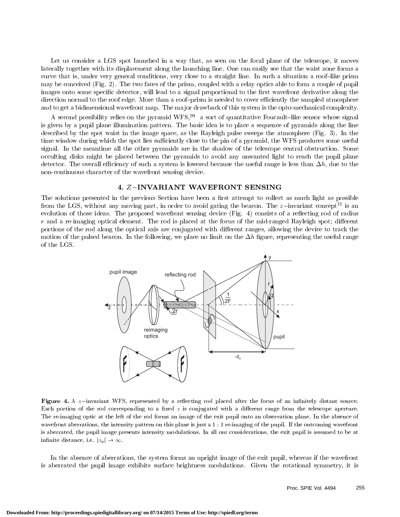Let us consider a LGS spot launched in a way that, as seen on the focal plane of the telescope, it moves laterally together with its displacement along the launching line. One can easily see that the waist zone forms a curve that is, under very general conditions, very close to a straight line. In such a situation a roof-like prism may be conceived (Fig. 2). The two faces of the prism, coupled with a relay optics able to form a couple of pupil images onto some specific detector, will lead to a signal proportional to the first wavefront derivative along the direction normal to the roof edge. More than a roof-prism is needed to cover efficiently the sampled atmosphere and to get a bidimensional wavefront map. The major drawback of this system is the opto-mechanical complexity.

A second possibility relies on the pyramid WFS,<sup>20</sup> a sort of quantitative Foucault-like sensor whose signal is given by a pupil plane illumination pattern. The basic idea is to place a sequence of pyramids along the line described by the spot waist in the image space, as the Rayleigh pulse sweeps the atmosphere (Fig. 3). In the time window during which the spot lies sufficiently close to the pin of a pyramid, the WFS produces some useful signal. In the meantime all the other pyramids are in the shadow of the telescope central obstruction. Some occulting disks might be placed between the pyramids to avoid any unwanted light to reach the pupil plane detector. The overall efficiency of such a system is lowered because the useful range is less than  $\Delta h$ , due to the non-continuous character of the wavefront sensing device.

## 4. Z-INVARIANT WAVEFRONT SENSING

The solutions presented in the previous Section have been a first attempt to collect as much light as possible from the LGS, without any moving part, in order to avoid gating the beacon. The  $z$ -invariant concept<sup>21</sup> is an evolution of those ideas. The proposed wavefront sensing device (Fig. 4) consists of a reflecting rod of radius  $r$  and a re-imaging optical element. The rod is placed at the focus of the mid-ranged Rayleigh spot; different portions of the rod along the optical axis are conjugated with different ranges, allowing the device to track the motion of the pulsed beacon. In the following, we place no limit on the  $\Delta h$  figure, representing the useful range of the LGS.



Figure 4. A zinvariant WFS, represented by a re
ecting rod placed after the focus of an innitely distant source. Each portion of the rod corresponding to a fixed  $z$  is conjugated with a different range from the telescope aperture. The re-imaging optic at the left of the rod forms an image of the exit pupil onto an observation plane. In the absence of wavefront aberrations, the intensity pattern on this plane is just a 1 : 1 re-imaging of the pupil. If the outcoming wavefront is aberrated, the pupil image presents intensity modulations. In all our considerations, the exit pupil is assumed to be at infinite distance, i.e.  $|z_p| \to \infty$ .

In the absence of aberrations, the system forms an upright image of the exit pupil, whereas if the wavefront is aberrated the pupil image exhibits surface brightness modulations. Given the rotational symmetry, it is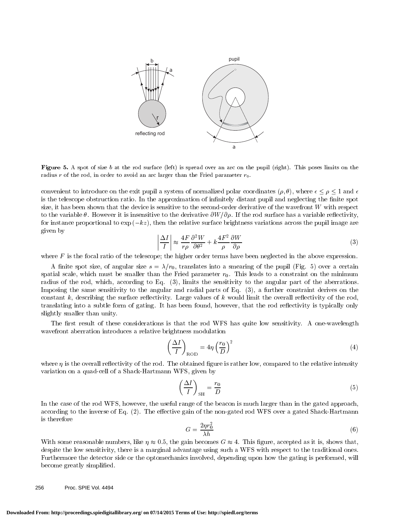

Figure 5. A spot of size <sup>b</sup> at the rod surface (left) is spread over an arc on the pupil (right). This poses limits on the radius r of the rod, in order to avoid an arc larger than the Fried parameter  $r_0$ .

convenient to introduce on the exit pupil a system of normalized polar coordinates  $(\rho, \theta)$ , where  $\epsilon \leq \rho \leq 1$  and  $\epsilon$ is the telescope obstruction ratio. In the approximation of infinitely distant pupil and neglecting the finite spot size, it has been shown that the device is sensitive to the second-order derivative of the wavefront  $W$  with respect to the variable  $\theta$ . However it is insensitive to the derivative  $\partial W/\partial \rho$ . If the rod surface has a variable reflectivity, for instance proportional to  $\exp(-kz)$ , then the relative surface brightness variations across the pupil image are given by

$$
\left|\frac{\Delta I}{I}\right| \approx \frac{4F}{r\rho}\frac{\partial^2 W}{\partial \theta^2} + k\frac{4F^2}{\rho}\frac{\partial W}{\partial \rho}
$$
\n(3)

where  $F$  is the focal ratio of the telescope; the higher order terms have been neglected in the above expression.

A finite spot size, of angular size  $s = \lambda/r_0$ , translates into a smearing of the pupil (Fig. 5) over a certain spatial scale, which must be smaller than the Fried parameter  $r_0$ . This leads to a constraint on the minimum radius of the rod, which, according to Eq. (3), limits the sensitivity to the angular part of the aberrations. Imposing the same sensitivity to the angular and radial parts of Eq. (3), a further constraint derives on the constant  $k$ , describing the surface reflectivity. Large values of  $k$  would limit the overall reflectivity of the rod, translating into a subtle form of gating. It has been found, however, that the rod reflectivity is typically only slightly smaller than unity.

The first result of these considerations is that the rod WFS has quite low sensitivity. A one-wavelength wavefront aberration introduces a relative brightness modulation

$$
\left(\frac{\Delta I}{I}\right)_{\text{ROD}} = 4\eta \left(\frac{r_0}{D}\right)^2\tag{4}
$$

where  $\eta$  is the overall reflectivity of the rod. The obtained figure is rather low, compared to the relative intensity variation on a quad-cell of a Shack-Hartmann WFS, given by

$$
\left(\frac{\Delta I}{I}\right)_{\text{SH}} = \frac{r_0}{D} \tag{5}
$$

In the case of the rod WFS, however, the useful range of the beacon is much larger than in the gated approach, according to the inverse of Eq. (2). The effective gain of the non-gated rod WFS over a gated Shack-Hartmann is therefore

$$
G = \frac{2\eta r_0^2}{\lambda h} \tag{6}
$$

With some reasonable numbers, like  $\eta \approx 0.5$ , the gain becomes  $G \approx 4$ . This figure, accepted as it is, shows that, despite the low sensitivity, there is a marginal advantage using such a WFS with respect to the traditional ones. Furthermore the detector side or the optomechanics involved, depending upon how the gating is performed, will become greatly simplified.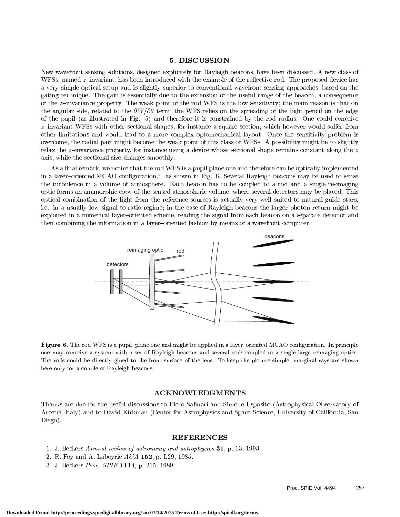## 5. DISCUSSION

New wavefront sensing solutions, designed explicitely for Rayleigh beacons, have been discussed. A new class of WFSs, named  $z$ -invariant, has been introduced with the example of the reflective rod. The proposed device has a very simple optical setup and is slightly superior to conventional wavefront sensing approaches, based on the gating technique. The gain is essentially due to the extension of the useful range of the beacon, a consequence of the  $z$ -invariance property. The weak point of the rod WFS is the low sensitivity; the main reason is that on the angular side, related to the  $\partial W/\partial \theta$  term, the WFS relies on the spreading of the light pencil on the edge of the pupil (as illustrated in Fig. 5) and therefore it is constrained by the rod radius. One could conceive  $z$ -invariant WFSs with other sectional shapes, for instance a square section, which however would suffer from other limitations and would lead to a more complex optomechanical layout. Once the sensitivity problem is overcome, the radial part might become the weak point of this class of WFSs. A possibility might be to slightly relax the  $z$ -invariance property, for instance using a device whose sectional shape remains constant along the  $z$ axis, while the sectional size changes smoothly.

As a final remark, we notice that the rod WFS is a pupil plane one and therefore can be optically implemented in a layer-oriented MCAO configuration,<sup>5</sup> as shown in Fig. 6. Several Rayleigh beacons may be used to sense the turbulence in a volume of atmosphere. Each beacon has to be coupled to a rod and a single re-imaging optic forms an anamorphic copy of the sensed atmospheric volume, where several detectors may be placed. This optical combination of the light from the reference sources is actually very well suited to natural guide stars, i.e. in a usually low signal-to-ratio regime; in the case of Rayleigh beacons the larger photon return might be exploited in a numerical layer-oriented scheme, reading the signal from each beacon on a separate detector and then combining the information in a layer-oriented fashion by means of a wavefront computer.



 ${\bf r}$  igure  ${\bf o}$ . The rod we s is a pupil-plane one and might be applied in a layer-oriented MCAO configuration. In principle one may conceive a system with a set of Rayleigh beacons and several rods coupled to a single large reimaging optics. The rods could be directly glued to the front surface of the lens. To keep the picture simple, marginal rays are shown here only for a couple of Rayleigh beacons.

Thanks are due for the useful discussions to Piero Salinari and Simone Esposito (Astrophysical Observatory of Arcetri, Italy) and to David Kirkman (Center for Astrophysics and Space Science, University of California, San Diego).

#### REFERENCES

- 1. J. Beckers Annual review of astronomy and astrophysics 31, p. 13, 1993.
- 2. R. Foy and A. Labeyrie  $A\mathcal{C}A$  152, p. L29, 1985.
- 3. J. Beckers Proc. SPIE 1114, p. 215, 1989.